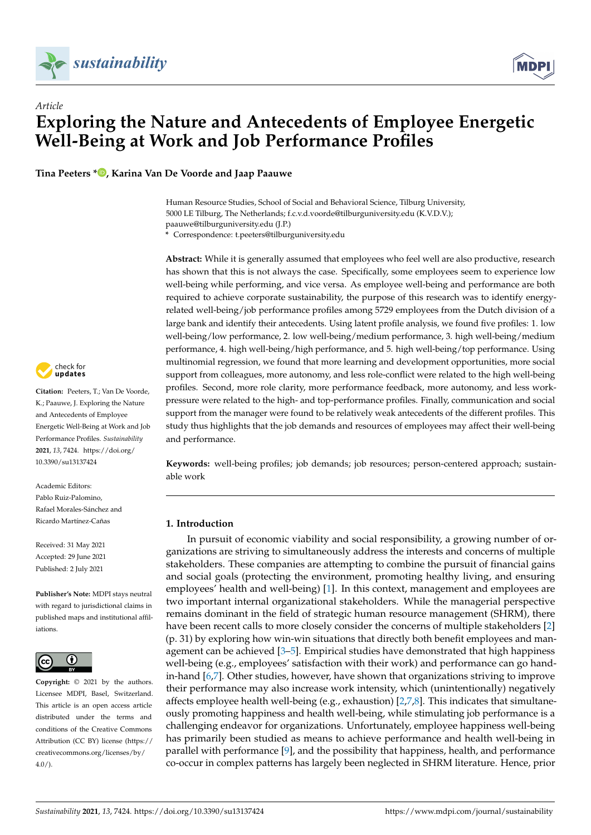

# *Article* **Exploring the Nature and Antecedents of Employee Energetic Well-Being at Work and Job Performance Profiles**

**Tina Peeters [\\*](https://orcid.org/0000-0001-9891-1117) , Karina Van De Voorde and Jaap Paauwe**

Human Resource Studies, School of Social and Behavioral Science, Tilburg University, 5000 LE Tilburg, The Netherlands; f.c.v.d.voorde@tilburguniversity.edu (K.V.D.V.); paauwe@tilburguniversity.edu (J.P.)

**\*** Correspondence: t.peeters@tilburguniversity.edu

**Abstract:** While it is generally assumed that employees who feel well are also productive, research has shown that this is not always the case. Specifically, some employees seem to experience low well-being while performing, and vice versa. As employee well-being and performance are both required to achieve corporate sustainability, the purpose of this research was to identify energyrelated well-being/job performance profiles among 5729 employees from the Dutch division of a large bank and identify their antecedents. Using latent profile analysis, we found five profiles: 1. low well-being/low performance, 2. low well-being/medium performance, 3. high well-being/medium performance, 4. high well-being/high performance, and 5. high well-being/top performance. Using multinomial regression, we found that more learning and development opportunities, more social support from colleagues, more autonomy, and less role-conflict were related to the high well-being profiles. Second, more role clarity, more performance feedback, more autonomy, and less workpressure were related to the high- and top-performance profiles. Finally, communication and social support from the manager were found to be relatively weak antecedents of the different profiles. This study thus highlights that the job demands and resources of employees may affect their well-being and performance.

**Keywords:** well-being profiles; job demands; job resources; person-centered approach; sustainable work

# **1. Introduction**

In pursuit of economic viability and social responsibility, a growing number of organizations are striving to simultaneously address the interests and concerns of multiple stakeholders. These companies are attempting to combine the pursuit of financial gains and social goals (protecting the environment, promoting healthy living, and ensuring employees' health and well-being) [\[1\]](#page-16-0). In this context, management and employees are two important internal organizational stakeholders. While the managerial perspective remains dominant in the field of strategic human resource management (SHRM), there have been recent calls to more closely consider the concerns of multiple stakeholders [\[2\]](#page-16-1) (p. 31) by exploring how win-win situations that directly both benefit employees and management can be achieved [\[3–](#page-16-2)[5\]](#page-16-3). Empirical studies have demonstrated that high happiness well-being (e.g., employees' satisfaction with their work) and performance can go handin-hand [\[6,](#page-16-4)[7\]](#page-16-5). Other studies, however, have shown that organizations striving to improve their performance may also increase work intensity, which (unintentionally) negatively affects employee health well-being (e.g., exhaustion)  $[2,7,8]$  $[2,7,8]$  $[2,7,8]$ . This indicates that simultaneously promoting happiness and health well-being, while stimulating job performance is a challenging endeavor for organizations. Unfortunately, employee happiness well-being has primarily been studied as means to achieve performance and health well-being in parallel with performance [\[9\]](#page-16-7), and the possibility that happiness, health, and performance co-occur in complex patterns has largely been neglected in SHRM literature. Hence, prior



**Citation:** Peeters, T.; Van De Voorde, K.; Paauwe, J. Exploring the Nature and Antecedents of Employee Energetic Well-Being at Work and Job Performance Profiles. *Sustainability* **2021**, *13*, 7424. [https://doi.org/](https://doi.org/10.3390/su13137424) [10.3390/su13137424](https://doi.org/10.3390/su13137424)

Academic Editors: Pablo Ruiz-Palomino, Rafael Morales-Sánchez and Ricardo Martínez-Cañas

Received: 31 May 2021 Accepted: 29 June 2021 Published: 2 July 2021

**Publisher's Note:** MDPI stays neutral with regard to jurisdictional claims in published maps and institutional affiliations.



**Copyright:** © 2021 by the authors. Licensee MDPI, Basel, Switzerland. This article is an open access article distributed under the terms and conditions of the Creative Commons Attribution (CC BY) license (https:/[/](https://creativecommons.org/licenses/by/4.0/) [creativecommons.org/licenses/by/](https://creativecommons.org/licenses/by/4.0/)  $4.0/$ ).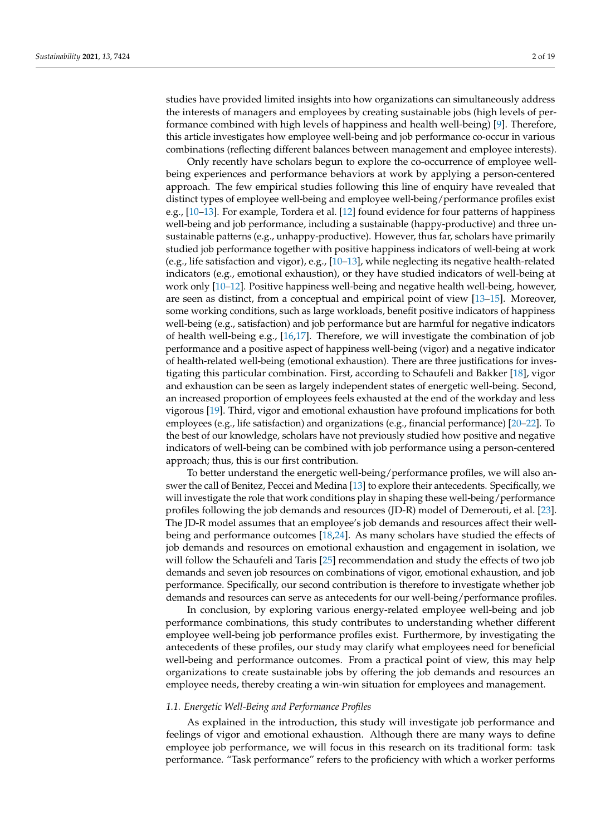studies have provided limited insights into how organizations can simultaneously address the interests of managers and employees by creating sustainable jobs (high levels of performance combined with high levels of happiness and health well-being) [\[9\]](#page-16-7). Therefore, this article investigates how employee well-being and job performance co-occur in various combinations (reflecting different balances between management and employee interests).

Only recently have scholars begun to explore the co-occurrence of employee wellbeing experiences and performance behaviors at work by applying a person-centered approach. The few empirical studies following this line of enquiry have revealed that distinct types of employee well-being and employee well-being/performance profiles exist e.g., [\[10](#page-16-8)[–13\]](#page-17-0). For example, Tordera et al. [\[12\]](#page-17-1) found evidence for four patterns of happiness well-being and job performance, including a sustainable (happy-productive) and three unsustainable patterns (e.g., unhappy-productive). However, thus far, scholars have primarily studied job performance together with positive happiness indicators of well-being at work (e.g., life satisfaction and vigor), e.g., [\[10–](#page-16-8)[13\]](#page-17-0), while neglecting its negative health-related indicators (e.g., emotional exhaustion), or they have studied indicators of well-being at work only [\[10](#page-16-8)[–12\]](#page-17-1). Positive happiness well-being and negative health well-being, however, are seen as distinct, from a conceptual and empirical point of view [\[13–](#page-17-0)[15\]](#page-17-2). Moreover, some working conditions, such as large workloads, benefit positive indicators of happiness well-being (e.g., satisfaction) and job performance but are harmful for negative indicators of health well-being e.g., [\[16](#page-17-3)[,17\]](#page-17-4). Therefore, we will investigate the combination of job performance and a positive aspect of happiness well-being (vigor) and a negative indicator of health-related well-being (emotional exhaustion). There are three justifications for investigating this particular combination. First, according to Schaufeli and Bakker [\[18\]](#page-17-5), vigor and exhaustion can be seen as largely independent states of energetic well-being. Second, an increased proportion of employees feels exhausted at the end of the workday and less vigorous [\[19\]](#page-17-6). Third, vigor and emotional exhaustion have profound implications for both employees (e.g., life satisfaction) and organizations (e.g., financial performance) [\[20](#page-17-7)[–22\]](#page-17-8). To the best of our knowledge, scholars have not previously studied how positive and negative indicators of well-being can be combined with job performance using a person-centered approach; thus, this is our first contribution.

To better understand the energetic well-being/performance profiles, we will also answer the call of Benitez, Peccei and Medina [\[13\]](#page-17-0) to explore their antecedents. Specifically, we will investigate the role that work conditions play in shaping these well-being/performance profiles following the job demands and resources (JD-R) model of Demerouti, et al. [\[23\]](#page-17-9). The JD-R model assumes that an employee's job demands and resources affect their wellbeing and performance outcomes [\[18](#page-17-5)[,24\]](#page-17-10). As many scholars have studied the effects of job demands and resources on emotional exhaustion and engagement in isolation, we will follow the Schaufeli and Taris [\[25\]](#page-17-11) recommendation and study the effects of two job demands and seven job resources on combinations of vigor, emotional exhaustion, and job performance. Specifically, our second contribution is therefore to investigate whether job demands and resources can serve as antecedents for our well-being/performance profiles.

In conclusion, by exploring various energy-related employee well-being and job performance combinations, this study contributes to understanding whether different employee well-being job performance profiles exist. Furthermore, by investigating the antecedents of these profiles, our study may clarify what employees need for beneficial well-being and performance outcomes. From a practical point of view, this may help organizations to create sustainable jobs by offering the job demands and resources an employee needs, thereby creating a win-win situation for employees and management.

#### *1.1. Energetic Well-Being and Performance Profiles*

As explained in the introduction, this study will investigate job performance and feelings of vigor and emotional exhaustion. Although there are many ways to define employee job performance, we will focus in this research on its traditional form: task performance. "Task performance" refers to the proficiency with which a worker performs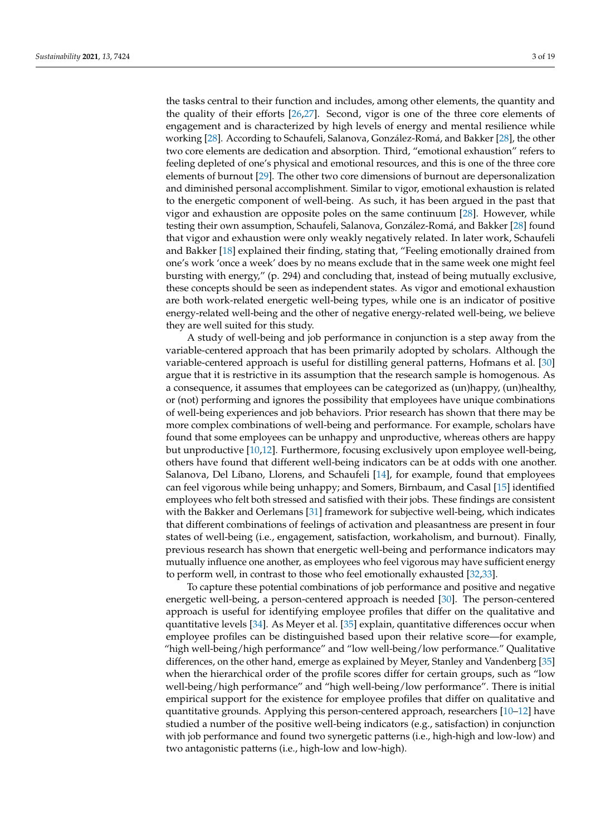the tasks central to their function and includes, among other elements, the quantity and the quality of their efforts [\[26](#page-17-12)[,27\]](#page-17-13). Second, vigor is one of the three core elements of engagement and is characterized by high levels of energy and mental resilience while working [\[28\]](#page-17-14). According to Schaufeli, Salanova, González-Romá, and Bakker [\[28\]](#page-17-14), the other two core elements are dedication and absorption. Third, "emotional exhaustion" refers to feeling depleted of one's physical and emotional resources, and this is one of the three core elements of burnout [\[29\]](#page-17-15). The other two core dimensions of burnout are depersonalization and diminished personal accomplishment. Similar to vigor, emotional exhaustion is related to the energetic component of well-being. As such, it has been argued in the past that vigor and exhaustion are opposite poles on the same continuum [\[28\]](#page-17-14). However, while testing their own assumption, Schaufeli, Salanova, González-Romá, and Bakker [\[28\]](#page-17-14) found that vigor and exhaustion were only weakly negatively related. In later work, Schaufeli and Bakker [\[18\]](#page-17-5) explained their finding, stating that, "Feeling emotionally drained from one's work 'once a week' does by no means exclude that in the same week one might feel bursting with energy," (p. 294) and concluding that, instead of being mutually exclusive, these concepts should be seen as independent states. As vigor and emotional exhaustion are both work-related energetic well-being types, while one is an indicator of positive energy-related well-being and the other of negative energy-related well-being, we believe they are well suited for this study.

A study of well-being and job performance in conjunction is a step away from the variable-centered approach that has been primarily adopted by scholars. Although the variable-centered approach is useful for distilling general patterns, Hofmans et al. [\[30\]](#page-17-16) argue that it is restrictive in its assumption that the research sample is homogenous. As a consequence, it assumes that employees can be categorized as (un)happy, (un)healthy, or (not) performing and ignores the possibility that employees have unique combinations of well-being experiences and job behaviors. Prior research has shown that there may be more complex combinations of well-being and performance. For example, scholars have found that some employees can be unhappy and unproductive, whereas others are happy but unproductive [\[10,](#page-16-8)[12\]](#page-17-1). Furthermore, focusing exclusively upon employee well-being, others have found that different well-being indicators can be at odds with one another. Salanova, Del Líbano, Llorens, and Schaufeli [\[14\]](#page-17-17), for example, found that employees can feel vigorous while being unhappy; and Somers, Birnbaum, and Casal [\[15\]](#page-17-2) identified employees who felt both stressed and satisfied with their jobs. These findings are consistent with the Bakker and Oerlemans [\[31\]](#page-17-18) framework for subjective well-being, which indicates that different combinations of feelings of activation and pleasantness are present in four states of well-being (i.e., engagement, satisfaction, workaholism, and burnout). Finally, previous research has shown that energetic well-being and performance indicators may mutually influence one another, as employees who feel vigorous may have sufficient energy to perform well, in contrast to those who feel emotionally exhausted [\[32](#page-17-19)[,33\]](#page-17-20).

To capture these potential combinations of job performance and positive and negative energetic well-being, a person-centered approach is needed [\[30\]](#page-17-16). The person-centered approach is useful for identifying employee profiles that differ on the qualitative and quantitative levels [\[34\]](#page-17-21). As Meyer et al. [\[35\]](#page-17-22) explain, quantitative differences occur when employee profiles can be distinguished based upon their relative score—for example, "high well-being/high performance" and "low well-being/low performance." Qualitative differences, on the other hand, emerge as explained by Meyer, Stanley and Vandenberg [\[35\]](#page-17-22) when the hierarchical order of the profile scores differ for certain groups, such as "low well-being/high performance" and "high well-being/low performance". There is initial empirical support for the existence for employee profiles that differ on qualitative and quantitative grounds. Applying this person-centered approach, researchers [\[10](#page-16-8)[–12\]](#page-17-1) have studied a number of the positive well-being indicators (e.g., satisfaction) in conjunction with job performance and found two synergetic patterns (i.e., high-high and low-low) and two antagonistic patterns (i.e., high-low and low-high).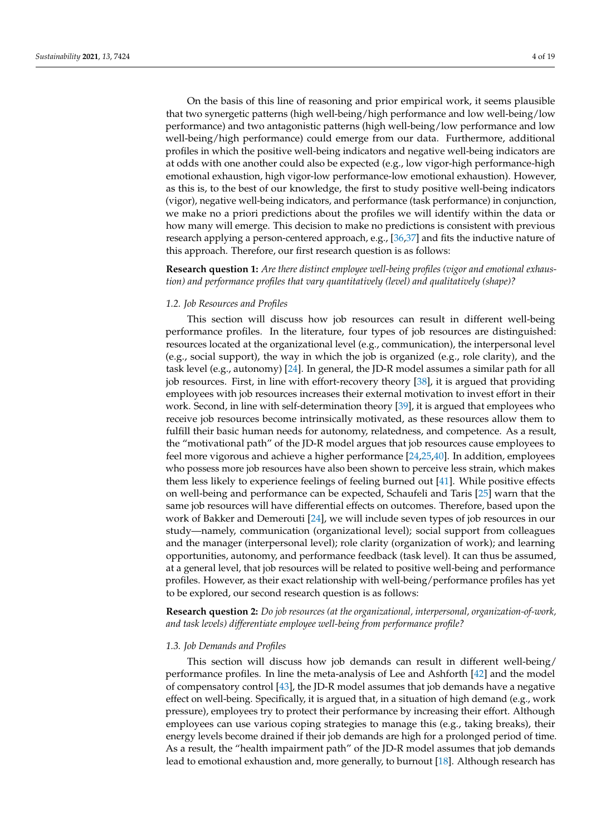On the basis of this line of reasoning and prior empirical work, it seems plausible that two synergetic patterns (high well-being/high performance and low well-being/low performance) and two antagonistic patterns (high well-being/low performance and low well-being/high performance) could emerge from our data. Furthermore, additional profiles in which the positive well-being indicators and negative well-being indicators are at odds with one another could also be expected (e.g., low vigor-high performance-high emotional exhaustion, high vigor-low performance-low emotional exhaustion). However, as this is, to the best of our knowledge, the first to study positive well-being indicators (vigor), negative well-being indicators, and performance (task performance) in conjunction, we make no a priori predictions about the profiles we will identify within the data or how many will emerge. This decision to make no predictions is consistent with previous research applying a person-centered approach, e.g., [\[36](#page-17-23)[,37\]](#page-17-24) and fits the inductive nature of this approach. Therefore, our first research question is as follows:

**Research question 1:** *Are there distinct employee well-being profiles (vigor and emotional exhaustion) and performance profiles that vary quantitatively (level) and qualitatively (shape)?*

# *1.2. Job Resources and Profiles*

This section will discuss how job resources can result in different well-being performance profiles. In the literature, four types of job resources are distinguished: resources located at the organizational level (e.g., communication), the interpersonal level (e.g., social support), the way in which the job is organized (e.g., role clarity), and the task level (e.g., autonomy) [\[24\]](#page-17-10). In general, the JD-R model assumes a similar path for all job resources. First, in line with effort-recovery theory [\[38\]](#page-17-25), it is argued that providing employees with job resources increases their external motivation to invest effort in their work. Second, in line with self-determination theory [\[39\]](#page-17-26), it is argued that employees who receive job resources become intrinsically motivated, as these resources allow them to fulfill their basic human needs for autonomy, relatedness, and competence. As a result, the "motivational path" of the JD-R model argues that job resources cause employees to feel more vigorous and achieve a higher performance [\[24,](#page-17-10)[25,](#page-17-11)[40\]](#page-17-27). In addition, employees who possess more job resources have also been shown to perceive less strain, which makes them less likely to experience feelings of feeling burned out [\[41\]](#page-18-0). While positive effects on well-being and performance can be expected, Schaufeli and Taris [\[25\]](#page-17-11) warn that the same job resources will have differential effects on outcomes. Therefore, based upon the work of Bakker and Demerouti [\[24\]](#page-17-10), we will include seven types of job resources in our study—namely, communication (organizational level); social support from colleagues and the manager (interpersonal level); role clarity (organization of work); and learning opportunities, autonomy, and performance feedback (task level). It can thus be assumed, at a general level, that job resources will be related to positive well-being and performance profiles. However, as their exact relationship with well-being/performance profiles has yet to be explored, our second research question is as follows:

**Research question 2:** *Do job resources (at the organizational, interpersonal, organization-of-work, and task levels) differentiate employee well-being from performance profile?*

#### *1.3. Job Demands and Profiles*

This section will discuss how job demands can result in different well-being/ performance profiles. In line the meta-analysis of Lee and Ashforth [\[42\]](#page-18-1) and the model of compensatory control [\[43\]](#page-18-2), the JD-R model assumes that job demands have a negative effect on well-being. Specifically, it is argued that, in a situation of high demand (e.g., work pressure), employees try to protect their performance by increasing their effort. Although employees can use various coping strategies to manage this (e.g., taking breaks), their energy levels become drained if their job demands are high for a prolonged period of time. As a result, the "health impairment path" of the JD-R model assumes that job demands lead to emotional exhaustion and, more generally, to burnout [\[18\]](#page-17-5). Although research has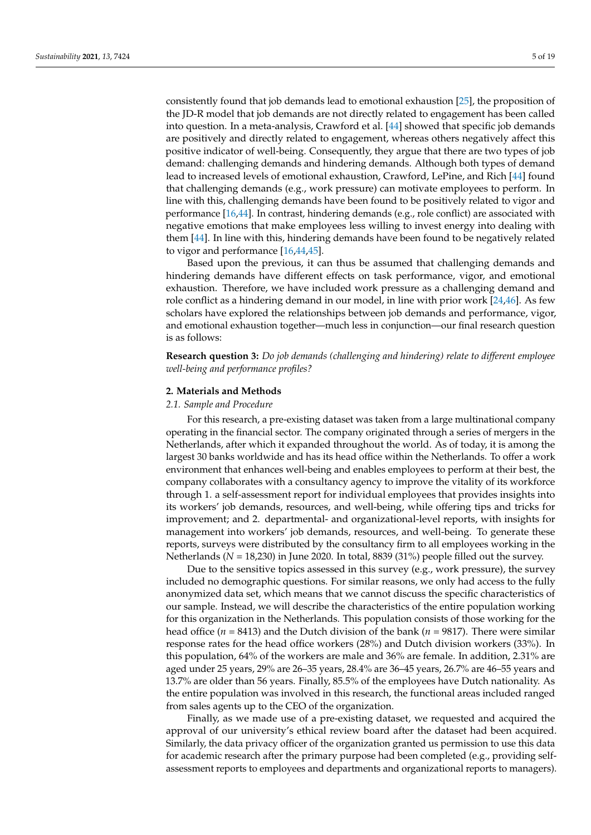consistently found that job demands lead to emotional exhaustion [\[25\]](#page-17-11), the proposition of the JD-R model that job demands are not directly related to engagement has been called into question. In a meta-analysis, Crawford et al. [\[44\]](#page-18-3) showed that specific job demands are positively and directly related to engagement, whereas others negatively affect this positive indicator of well-being. Consequently, they argue that there are two types of job demand: challenging demands and hindering demands. Although both types of demand lead to increased levels of emotional exhaustion, Crawford, LePine, and Rich [\[44\]](#page-18-3) found that challenging demands (e.g., work pressure) can motivate employees to perform. In line with this, challenging demands have been found to be positively related to vigor and performance  $[16,44]$  $[16,44]$ . In contrast, hindering demands (e.g., role conflict) are associated with negative emotions that make employees less willing to invest energy into dealing with them [\[44\]](#page-18-3). In line with this, hindering demands have been found to be negatively related to vigor and performance [\[16,](#page-17-3)[44,](#page-18-3)[45\]](#page-18-4).

Based upon the previous, it can thus be assumed that challenging demands and hindering demands have different effects on task performance, vigor, and emotional exhaustion. Therefore, we have included work pressure as a challenging demand and role conflict as a hindering demand in our model, in line with prior work [\[24,](#page-17-10)[46\]](#page-18-5). As few scholars have explored the relationships between job demands and performance, vigor, and emotional exhaustion together—much less in conjunction—our final research question is as follows:

**Research question 3:** *Do job demands (challenging and hindering) relate to different employee well-being and performance profiles?*

#### **2. Materials and Methods**

#### *2.1. Sample and Procedure*

For this research, a pre-existing dataset was taken from a large multinational company operating in the financial sector. The company originated through a series of mergers in the Netherlands, after which it expanded throughout the world. As of today, it is among the largest 30 banks worldwide and has its head office within the Netherlands. To offer a work environment that enhances well-being and enables employees to perform at their best, the company collaborates with a consultancy agency to improve the vitality of its workforce through 1. a self-assessment report for individual employees that provides insights into its workers' job demands, resources, and well-being, while offering tips and tricks for improvement; and 2. departmental- and organizational-level reports, with insights for management into workers' job demands, resources, and well-being. To generate these reports, surveys were distributed by the consultancy firm to all employees working in the Netherlands (*N* = 18,230) in June 2020. In total, 8839 (31%) people filled out the survey.

Due to the sensitive topics assessed in this survey (e.g., work pressure), the survey included no demographic questions. For similar reasons, we only had access to the fully anonymized data set, which means that we cannot discuss the specific characteristics of our sample. Instead, we will describe the characteristics of the entire population working for this organization in the Netherlands. This population consists of those working for the head office (*n* = 8413) and the Dutch division of the bank (*n* = 9817). There were similar response rates for the head office workers (28%) and Dutch division workers (33%). In this population, 64% of the workers are male and 36% are female. In addition, 2.31% are aged under 25 years, 29% are 26–35 years, 28.4% are 36–45 years, 26.7% are 46–55 years and 13.7% are older than 56 years. Finally, 85.5% of the employees have Dutch nationality. As the entire population was involved in this research, the functional areas included ranged from sales agents up to the CEO of the organization.

Finally, as we made use of a pre-existing dataset, we requested and acquired the approval of our university's ethical review board after the dataset had been acquired. Similarly, the data privacy officer of the organization granted us permission to use this data for academic research after the primary purpose had been completed (e.g., providing selfassessment reports to employees and departments and organizational reports to managers).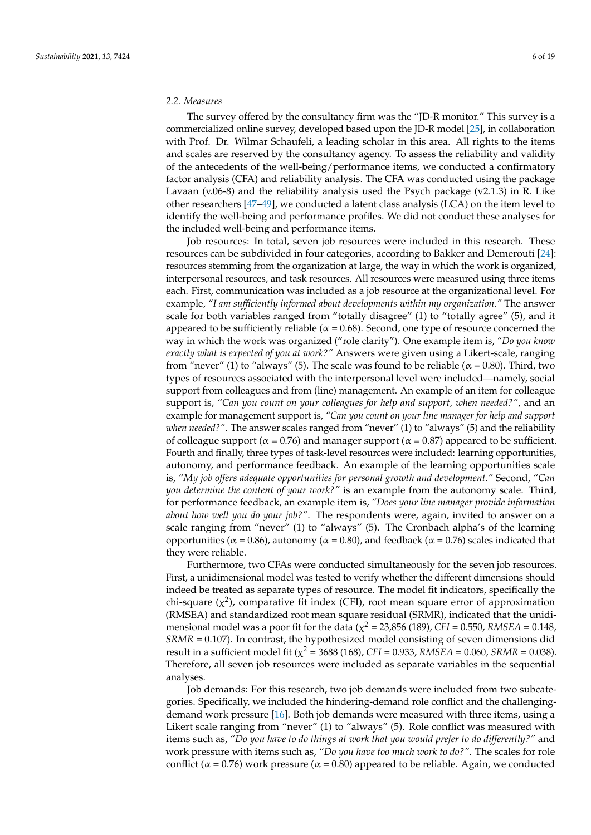# *2.2. Measures*

The survey offered by the consultancy firm was the "JD-R monitor." This survey is a commercialized online survey, developed based upon the JD-R model [\[25\]](#page-17-11), in collaboration with Prof. Dr. Wilmar Schaufeli, a leading scholar in this area. All rights to the items and scales are reserved by the consultancy agency. To assess the reliability and validity of the antecedents of the well-being/performance items, we conducted a confirmatory factor analysis (CFA) and reliability analysis. The CFA was conducted using the package Lavaan  $(v.06-8)$  and the reliability analysis used the Psych package  $(v2.1.3)$  in R. Like other researchers [\[47–](#page-18-6)[49\]](#page-18-7), we conducted a latent class analysis (LCA) on the item level to identify the well-being and performance profiles. We did not conduct these analyses for the included well-being and performance items.

Job resources: In total, seven job resources were included in this research. These resources can be subdivided in four categories, according to Bakker and Demerouti [\[24\]](#page-17-10): resources stemming from the organization at large, the way in which the work is organized, interpersonal resources, and task resources. All resources were measured using three items each. First, communication was included as a job resource at the organizational level. For example, *"I am sufficiently informed about developments within my organization."* The answer scale for both variables ranged from "totally disagree" (1) to "totally agree" (5), and it appeared to be sufficiently reliable ( $\alpha$  = 0.68). Second, one type of resource concerned the way in which the work was organized ("role clarity"). One example item is, *"Do you know exactly what is expected of you at work?"* Answers were given using a Likert-scale, ranging from "never" (1) to "always" (5). The scale was found to be reliable ( $\alpha$  = 0.80). Third, two types of resources associated with the interpersonal level were included—namely, social support from colleagues and from (line) management. An example of an item for colleague support is, *"Can you count on your colleagues for help and support, when needed?"*, and an example for management support is, *"Can you count on your line manager for help and support when needed?"*. The answer scales ranged from "never" (1) to "always" (5) and the reliability of colleague support ( $α = 0.76$ ) and manager support ( $α = 0.87$ ) appeared to be sufficient. Fourth and finally, three types of task-level resources were included: learning opportunities, autonomy, and performance feedback. An example of the learning opportunities scale is, *"My job offers adequate opportunities for personal growth and development."* Second, *"Can you determine the content of your work?"* is an example from the autonomy scale. Third, for performance feedback, an example item is, *"Does your line manager provide information about how well you do your job?"*. The respondents were, again, invited to answer on a scale ranging from "never" (1) to "always" (5). The Cronbach alpha's of the learning opportunities ( $\alpha$  = 0.86), autonomy ( $\alpha$  = 0.80), and feedback ( $\alpha$  = 0.76) scales indicated that they were reliable.

Furthermore, two CFAs were conducted simultaneously for the seven job resources. First, a unidimensional model was tested to verify whether the different dimensions should indeed be treated as separate types of resource. The model fit indicators, specifically the chi-square  $(\chi^2)$ , comparative fit index (CFI), root mean square error of approximation (RMSEA) and standardized root mean square residual (SRMR), indicated that the unidimensional model was a poor fit for the data ( $\chi^2$  = 23,856 (189), *CFI* = 0.550, *RMSEA* = 0.148, *SRMR* = 0.107). In contrast, the hypothesized model consisting of seven dimensions did result in a sufficient model fit ( $\chi^2$  = 3688 (168), *CFI* = 0.933, *RMSEA* = 0.060, *SRMR* = 0.038). Therefore, all seven job resources were included as separate variables in the sequential analyses.

Job demands: For this research, two job demands were included from two subcategories. Specifically, we included the hindering-demand role conflict and the challengingdemand work pressure [\[16\]](#page-17-3). Both job demands were measured with three items, using a Likert scale ranging from "never" (1) to "always" (5). Role conflict was measured with items such as, *"Do you have to do things at work that you would prefer to do differently?"* and work pressure with items such as, *"Do you have too much work to do?".* The scales for role conflict ( $\alpha$  = 0.76) work pressure ( $\alpha$  = 0.80) appeared to be reliable. Again, we conducted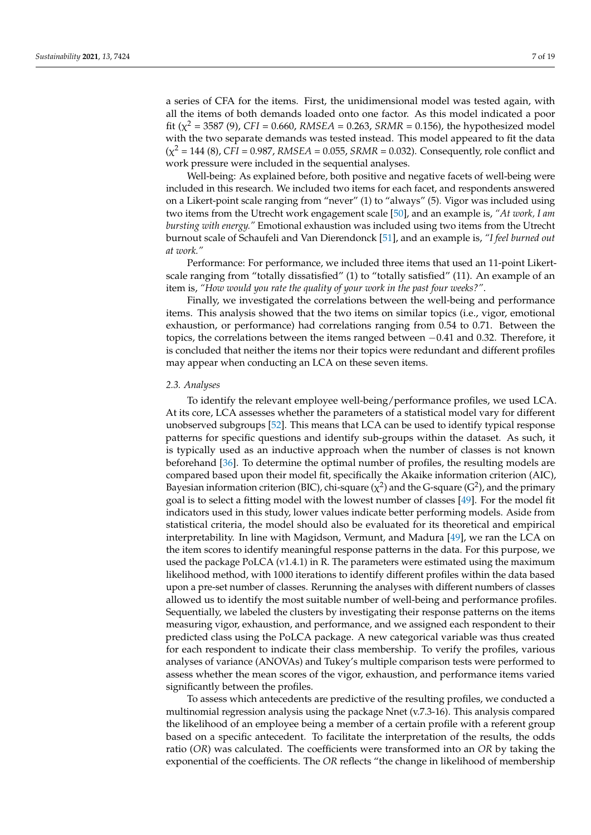a series of CFA for the items. First, the unidimensional model was tested again, with all the items of both demands loaded onto one factor. As this model indicated a poor fit ( $\chi^2$  = 3587 (9), *CFI* = 0.660, *RMSEA* = 0.263, *SRMR* = 0.156), the hypothesized model with the two separate demands was tested instead. This model appeared to fit the data  $(\chi^2 = 144 \, (8)$ , *CFI* = 0.987, *RMSEA* = 0.055, *SRMR* = 0.032). Consequently, role conflict and work pressure were included in the sequential analyses.

Well-being: As explained before, both positive and negative facets of well-being were included in this research. We included two items for each facet, and respondents answered on a Likert-point scale ranging from "never" (1) to "always" (5). Vigor was included using two items from the Utrecht work engagement scale [\[50\]](#page-18-8), and an example is, *"At work, I am bursting with energy."* Emotional exhaustion was included using two items from the Utrecht burnout scale of Schaufeli and Van Dierendonck [\[51\]](#page-18-9), and an example is, *"I feel burned out at work."*

Performance: For performance, we included three items that used an 11-point Likertscale ranging from "totally dissatisfied" (1) to "totally satisfied" (11). An example of an item is, *"How would you rate the quality of your work in the past four weeks?"*.

Finally, we investigated the correlations between the well-being and performance items. This analysis showed that the two items on similar topics (i.e., vigor, emotional exhaustion, or performance) had correlations ranging from 0.54 to 0.71. Between the topics, the correlations between the items ranged between −0.41 and 0.32. Therefore, it is concluded that neither the items nor their topics were redundant and different profiles may appear when conducting an LCA on these seven items.

# *2.3. Analyses*

To identify the relevant employee well-being/performance profiles, we used LCA. At its core, LCA assesses whether the parameters of a statistical model vary for different unobserved subgroups [\[52\]](#page-18-10). This means that LCA can be used to identify typical response patterns for specific questions and identify sub-groups within the dataset. As such, it is typically used as an inductive approach when the number of classes is not known beforehand [\[36\]](#page-17-23). To determine the optimal number of profiles, the resulting models are compared based upon their model fit, specifically the Akaike information criterion (AIC), Bayesian information criterion (BIC), chi-square ( $\chi^2$ ) and the G-square (G<sup>2</sup>), and the primary goal is to select a fitting model with the lowest number of classes [\[49\]](#page-18-7). For the model fit indicators used in this study, lower values indicate better performing models. Aside from statistical criteria, the model should also be evaluated for its theoretical and empirical interpretability. In line with Magidson, Vermunt, and Madura [\[49\]](#page-18-7), we ran the LCA on the item scores to identify meaningful response patterns in the data. For this purpose, we used the package PoLCA (v1.4.1) in R. The parameters were estimated using the maximum likelihood method, with 1000 iterations to identify different profiles within the data based upon a pre-set number of classes. Rerunning the analyses with different numbers of classes allowed us to identify the most suitable number of well-being and performance profiles. Sequentially, we labeled the clusters by investigating their response patterns on the items measuring vigor, exhaustion, and performance, and we assigned each respondent to their predicted class using the PoLCA package. A new categorical variable was thus created for each respondent to indicate their class membership. To verify the profiles, various analyses of variance (ANOVAs) and Tukey's multiple comparison tests were performed to assess whether the mean scores of the vigor, exhaustion, and performance items varied significantly between the profiles.

To assess which antecedents are predictive of the resulting profiles, we conducted a multinomial regression analysis using the package Nnet (v.7.3-16). This analysis compared the likelihood of an employee being a member of a certain profile with a referent group based on a specific antecedent. To facilitate the interpretation of the results, the odds ratio (*OR*) was calculated. The coefficients were transformed into an *OR* by taking the exponential of the coefficients. The *OR* reflects "the change in likelihood of membership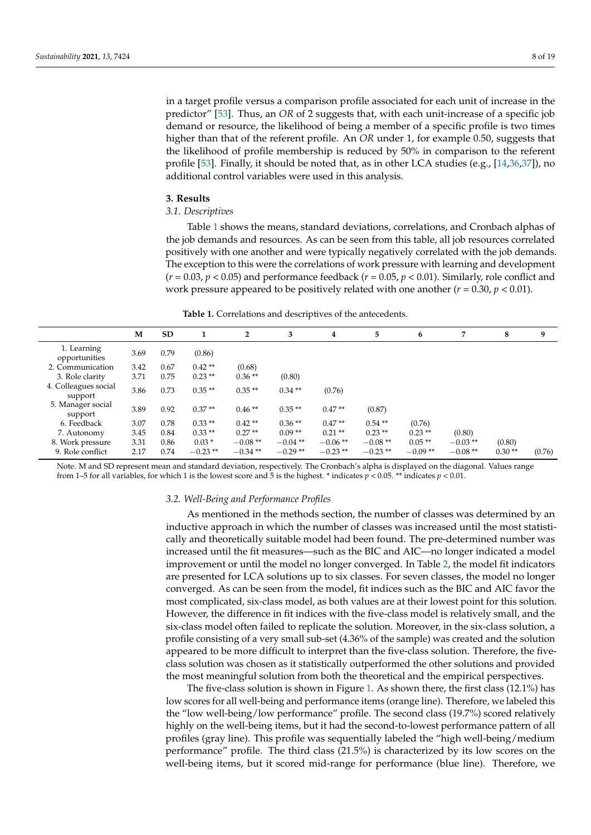in a target profile versus a comparison profile associated for each unit of increase in the predictor" [\[53\]](#page-18-11). Thus, an *OR* of 2 suggests that, with each unit-increase of a specific job demand or resource, the likelihood of being a member of a specific profile is two times higher than that of the referent profile. An *OR* under 1, for example 0.50, suggests that the likelihood of profile membership is reduced by 50% in comparison to the referent profile [\[53\]](#page-18-11). Finally, it should be noted that, as in other LCA studies (e.g., [\[14](#page-17-17)[,36](#page-17-23)[,37\]](#page-17-24)), no additional control variables were used in this analysis.

#### **3. Results**

# *3.1. Descriptives*

Table [1](#page-7-0) shows the means, standard deviations, correlations, and Cronbach alphas of the job demands and resources. As can be seen from this table, all job resources correlated positively with one another and were typically negatively correlated with the job demands. The exception to this were the correlations of work pressure with learning and development  $(r = 0.03, p < 0.05)$  and performance feedback  $(r = 0.05, p < 0.01)$ . Similarly, role conflict and work pressure appeared to be positively related with one another  $(r = 0.30, p < 0.01)$ .

**Table 1.** Correlations and descriptives of the antecedents.

<span id="page-7-0"></span>

|                                 | М    | <b>SD</b> |           | $\overline{2}$ | 3          | 4         | 5         | 6         | 7         | 8        | 9      |
|---------------------------------|------|-----------|-----------|----------------|------------|-----------|-----------|-----------|-----------|----------|--------|
| 1. Learning<br>opportunities    | 3.69 | 0.79      | (0.86)    |                |            |           |           |           |           |          |        |
| 2. Communication                | 3.42 | 0.67      | $0.42**$  | (0.68)         |            |           |           |           |           |          |        |
| 3. Role clarity                 | 3.71 | 0.75      | $0.23**$  | $0.36**$       | (0.80)     |           |           |           |           |          |        |
| 4. Colleagues social<br>support | 3.86 | 0.73      | $0.35**$  | $0.35**$       | $0.34**$   | (0.76)    |           |           |           |          |        |
| 5. Manager social<br>support    | 3.89 | 0.92      | $0.37**$  | $0.46**$       | $0.35**$   | $0.47**$  | (0.87)    |           |           |          |        |
| 6. Feedback                     | 3.07 | 0.78      | $0.33**$  | $0.42**$       | $0.36**$   | $0.47**$  | $0.54**$  | (0.76)    |           |          |        |
| 7. Autonomy                     | 3.45 | 0.84      | $0.33**$  | $0.27**$       | $0.09**$   | $0.21**$  | $0.23**$  | $0.23**$  | (0.80)    |          |        |
| 8. Work pressure                | 3.31 | 0.86      | $0.03*$   | $-0.08**$      | $-0.04$ ** | $-0.06**$ | $-0.08**$ | $0.05**$  | $-0.03**$ | (0.80)   |        |
| 9. Role conflict                | 2.17 | 0.74      | $-0.23**$ | $-0.34**$      | $-0.29**$  | $-0.23**$ | $-0.23**$ | $-0.09**$ | $-0.08**$ | $0.30**$ | (0.76) |

Note. M and SD represent mean and standard deviation, respectively. The Cronbach's alpha is displayed on the diagonal. Values range from 1–5 for all variables, for which 1 is the lowest score and 5 is the highest. \* indicates  $p < 0.05$ . \*\* indicates  $p < 0.01$ .

#### *3.2. Well-Being and Performance Profiles*

As mentioned in the methods section, the number of classes was determined by an inductive approach in which the number of classes was increased until the most statistically and theoretically suitable model had been found. The pre-determined number was increased until the fit measures—such as the BIC and AIC—no longer indicated a model improvement or until the model no longer converged. In Table [2,](#page-8-0) the model fit indicators are presented for LCA solutions up to six classes. For seven classes, the model no longer converged. As can be seen from the model, fit indices such as the BIC and AIC favor the most complicated, six-class model, as both values are at their lowest point for this solution. However, the difference in fit indices with the five-class model is relatively small, and the six-class model often failed to replicate the solution. Moreover, in the six-class solution, a profile consisting of a very small sub-set (4.36% of the sample) was created and the solution appeared to be more difficult to interpret than the five-class solution. Therefore, the fiveclass solution was chosen as it statistically outperformed the other solutions and provided the most meaningful solution from both the theoretical and the empirical perspectives.

The five-class solution is shown in Figure [1.](#page-8-1) As shown there, the first class (12.1%) has low scores for all well-being and performance items (orange line). Therefore, we labeled this the "low well-being/low performance" profile. The second class (19.7%) scored relatively highly on the well-being items, but it had the second-to-lowest performance pattern of all profiles (gray line). This profile was sequentially labeled the "high well-being/medium performance" profile. The third class (21.5%) is characterized by its low scores on the well-being items, but it scored mid-range for performance (blue line). Therefore, we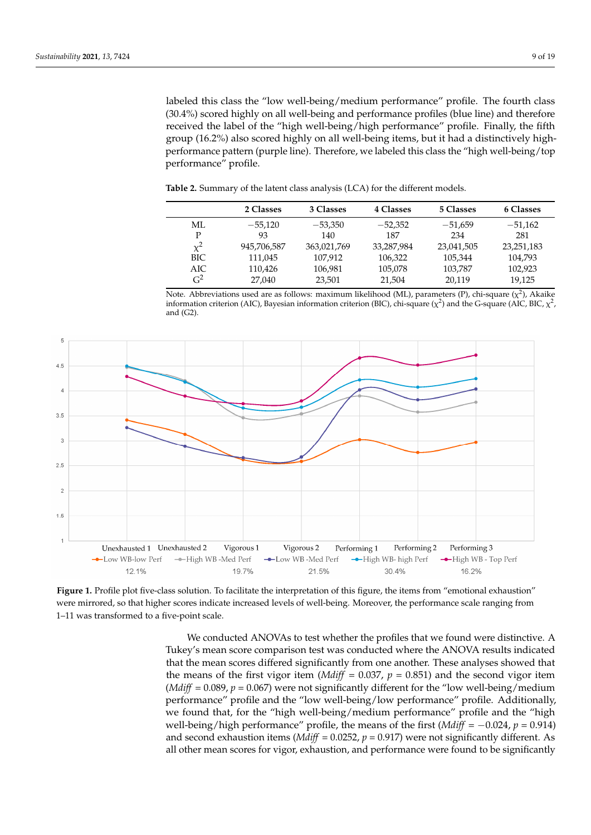labeled this class the "low well-being/medium performance" profile. The fourth class (30.4%) scored highly on all well-being and performance profiles (blue line) and therefore received the label of the "high well-being/high performance" profile. Finally, the fifth group (16.2%) also scored highly on all well-being items, but it had a distinctively highperformance pattern (purple line). Therefore, we labeled this class the "high well-being/top performance" profile.

<span id="page-8-0"></span>**Table 2.** Summary of the latent class analysis (LCA) for the different models.

|                | 2 Classes   | 3 Classes   | 4 Classes  | 5 Classes  | <b>6 Classes</b> |
|----------------|-------------|-------------|------------|------------|------------------|
| МL             | $-55.120$   | $-53,350$   | $-52,352$  | $-51.659$  | $-51,162$        |
| D              | 93          | 140         | 187        | 234        | 281              |
| $\mathbf{v}^2$ | 945,706,587 | 363,021,769 | 33,287,984 | 23,041,505 | 23, 251, 183     |
| BIC            | 111,045     | 107.912     | 106,322    | 105,344    | 104,793          |
| AIC            | 110.426     | 106,981     | 105,078    | 103,787    | 102,923          |
| G <sup>2</sup> | 27,040      | 23,501      | 21,504     | 20,119     | 19,125           |

Note. Abbreviations used are as follows: maximum likelihood (ML), parameters (P), chi-square ( $\chi^2$ ), Akaike information criterion (AIC), Bayesian information criterion (BIC), chi-square ( $\chi^2$ ) and the G-square (AIC, BIC,  $\chi^2$ , and (G2).

<span id="page-8-1"></span>

were mirrored, so that higher scores indicate increased levels of well-being. Moreover, the performance scale ranging from  $t_1$  is that the method is a five point scale increased levels of well-being. Moreover, the performance scale ranging  $\alpha$  ranging. Moreover, the performance scale ranging  $\alpha$  ranging  $\alpha$  ranging  $\alpha$  ranging  $\alpha$  rang 1–11 was transformed to a five-point scale. Figure 1. Profile plot five-class solution. To facilitate the interpretation of this figure, the items from "emotional exhaustion"

Tukey's mean score comparison test was conducted where the ANOVA results indicated that the mean scores differed significantly from one another. These analyses showed that the means of the first vigor item (*Mdiff* = 0.037,  $p = 0.851$ ) and the second vigor item (*Mdiff* = 0.089,  $p = 0.067$ ) were not significantly different for the "low well-being/medium performance" profile and the "low well-being/low performance" profile. Additionally, we found that, for the "high well-being/medium performance" profile and the "high well-being/high performance" profile, the means of the first (*Mdiff* =  $-0.024$ ,  $p = 0.914$ ) and second exhaustion items (*Mdiff* = 0.0252,  $p = 0.917$ ) were not significantly different. As all other mean scores for vigor, exhaustion, and performance were found to be significantly We conducted ANOVAs to test whether the profiles that we found were distinctive. A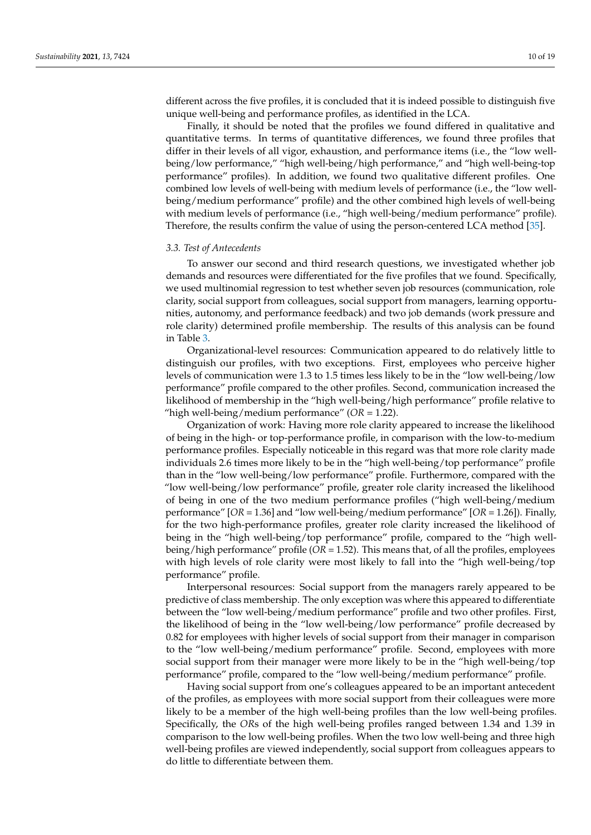different across the five profiles, it is concluded that it is indeed possible to distinguish five unique well-being and performance profiles, as identified in the LCA.

Finally, it should be noted that the profiles we found differed in qualitative and quantitative terms. In terms of quantitative differences, we found three profiles that differ in their levels of all vigor, exhaustion, and performance items (i.e., the "low wellbeing/low performance," "high well-being/high performance," and "high well-being-top performance" profiles). In addition, we found two qualitative different profiles. One combined low levels of well-being with medium levels of performance (i.e., the "low wellbeing/medium performance" profile) and the other combined high levels of well-being with medium levels of performance (i.e., "high well-being/medium performance" profile). Therefore, the results confirm the value of using the person-centered LCA method [\[35\]](#page-17-22).

#### *3.3. Test of Antecedents*

To answer our second and third research questions, we investigated whether job demands and resources were differentiated for the five profiles that we found. Specifically, we used multinomial regression to test whether seven job resources (communication, role clarity, social support from colleagues, social support from managers, learning opportunities, autonomy, and performance feedback) and two job demands (work pressure and role clarity) determined profile membership. The results of this analysis can be found in Table [3.](#page-10-0)

Organizational-level resources: Communication appeared to do relatively little to distinguish our profiles, with two exceptions. First, employees who perceive higher levels of communication were 1.3 to 1.5 times less likely to be in the "low well-being/low performance" profile compared to the other profiles. Second, communication increased the likelihood of membership in the "high well-being/high performance" profile relative to "high well-being/medium performance" (*OR* = 1.22).

Organization of work: Having more role clarity appeared to increase the likelihood of being in the high- or top-performance profile, in comparison with the low-to-medium performance profiles. Especially noticeable in this regard was that more role clarity made individuals 2.6 times more likely to be in the "high well-being/top performance" profile than in the "low well-being/low performance" profile. Furthermore, compared with the "low well-being/low performance" profile, greater role clarity increased the likelihood of being in one of the two medium performance profiles ("high well-being/medium performance" [*OR* = 1.36] and "low well-being/medium performance" [*OR* = 1.26]). Finally, for the two high-performance profiles, greater role clarity increased the likelihood of being in the "high well-being/top performance" profile, compared to the "high wellbeing/high performance" profile (*OR* = 1.52). This means that, of all the profiles, employees with high levels of role clarity were most likely to fall into the "high well-being/top performance" profile.

Interpersonal resources: Social support from the managers rarely appeared to be predictive of class membership. The only exception was where this appeared to differentiate between the "low well-being/medium performance" profile and two other profiles. First, the likelihood of being in the "low well-being/low performance" profile decreased by 0.82 for employees with higher levels of social support from their manager in comparison to the "low well-being/medium performance" profile. Second, employees with more social support from their manager were more likely to be in the "high well-being/top performance" profile, compared to the "low well-being/medium performance" profile.

Having social support from one's colleagues appeared to be an important antecedent of the profiles, as employees with more social support from their colleagues were more likely to be a member of the high well-being profiles than the low well-being profiles. Specifically, the *OR*s of the high well-being profiles ranged between 1.34 and 1.39 in comparison to the low well-being profiles. When the two low well-being and three high well-being profiles are viewed independently, social support from colleagues appears to do little to differentiate between them.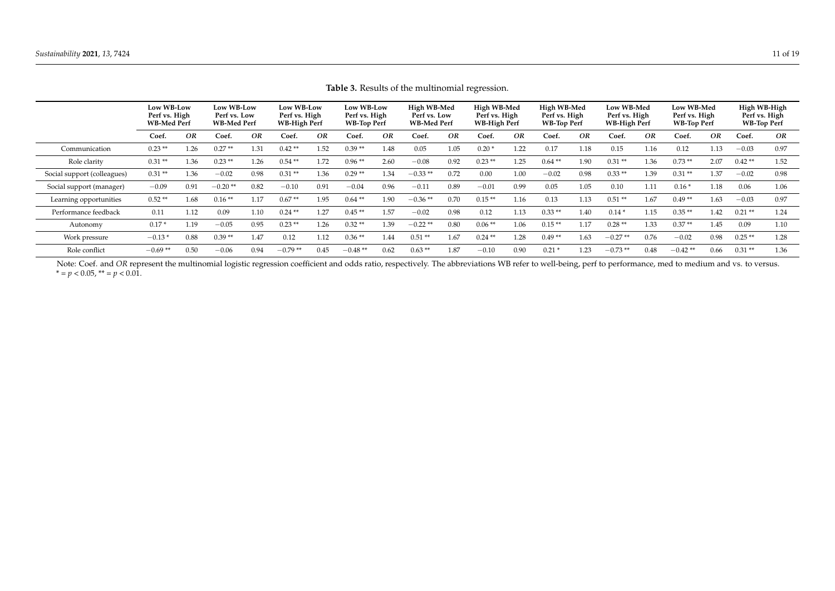|                             | Low WB-Low<br>Perf vs. High<br><b>WB-Med Perf</b> |           | Low WB-Low<br>Perf vs. Low<br><b>WB-Med Perf</b> |      | Low WB-Low<br>Perf vs. High<br>WB-High Perf |      | Low WB-Low<br>Perf vs. High<br><b>WB-Top Perf</b> |      | High WB-Med<br>Perf vs. Low<br><b>WB-Med Perf</b> |      | High WB-Med<br>Perf vs. High<br>WB-High Perf |      | High WB-Med<br>Perf vs. High<br>WB-Top Perf |      | Low WB-Med<br>Perf vs. High<br><b>WB-High Perf</b> |      | Low WB-Med<br>Perf vs. High<br><b>WB-Top Perf</b> |      | High WB-High<br>Perf vs. High<br><b>WB-Top Perf</b> |      |
|-----------------------------|---------------------------------------------------|-----------|--------------------------------------------------|------|---------------------------------------------|------|---------------------------------------------------|------|---------------------------------------------------|------|----------------------------------------------|------|---------------------------------------------|------|----------------------------------------------------|------|---------------------------------------------------|------|-----------------------------------------------------|------|
|                             | Coef.                                             | <b>OR</b> | Coef.                                            | OR   | Coef.                                       | OR   | Coef.                                             | OR   | Coef.                                             | OR   | Coef.                                        | OR   | Coef.                                       | OR   | Coef.                                              | OR   | Coef.                                             | OR   | Coef.                                               | OR   |
| Communication               | $0.23**$                                          | 1.26      | $0.27**$                                         | 1.31 | $0.42**$                                    | 1.52 | $0.39**$                                          | 1.48 | 0.05                                              | 1.05 | $0.20*$                                      | 1.22 | 0.17                                        | 1.18 | 0.15                                               | 1.16 | 0.12                                              | 1.13 | $-0.03$                                             | 0.97 |
| Role clarity                | $0.31**$                                          | 1.36      | $0.23**$                                         | 1.26 | $0.54**$                                    | 1.72 | $0.96**$                                          | 2.60 | $-0.08$                                           | 0.92 | $0.23**$                                     | 1.25 | $0.64**$                                    | 1.90 | $0.31**$                                           | 1.36 | $0.73**$                                          | 2.07 | $0.42**$                                            | 1.52 |
| Social support (colleagues) | $0.31**$                                          | 1.36      | $-0.02$                                          | 0.98 | $0.31**$                                    | 1.36 | $0.29**$                                          | 1.34 | $-0.33**$                                         | 0.72 | 0.00                                         | 1.00 | $-0.02$                                     | 0.98 | $0.33**$                                           | 1.39 | $0.31**$                                          | 1.37 | $-0.02$                                             | 0.98 |
| Social support (manager)    | $-0.09$                                           | 0.91      | $-0.20**$                                        | 0.82 | $-0.10$                                     | 0.91 | $-0.04$                                           | 0.96 | $-0.11$                                           | 0.89 | $-0.01$                                      | 0.99 | 0.05                                        | 1.05 | 0.10                                               | 1.11 | $0.16*$                                           | 1.18 | 0.06                                                | 1.06 |
| Learning opportunities      | $0.52**$                                          | 1.68      | $0.16**$                                         | 1.17 | $0.67**$                                    | 1.95 | $0.64**$                                          | 1.90 | $-0.36**$                                         | 0.70 | $0.15**$                                     | 1.16 | 0.13                                        | 1.13 | $0.51**$                                           | 1.67 | $0.49**$                                          | 1.63 | $-0.03$                                             | 0.97 |
| Performance feedback        | 0.11                                              | 1.12      | 0.09                                             | 1.10 | $0.24**$                                    | 1.27 | $0.45**$                                          | 1.57 | $-0.02$                                           | 0.98 | 0.12                                         | 1.13 | $0.33**$                                    | 1.40 | $0.14*$                                            | 1.15 | $0.35**$                                          | 1.42 | $0.21**$                                            | 1.24 |
| Autonomy                    | $0.17*$                                           | 1.19      | $-0.05$                                          | 0.95 | $0.23**$                                    | 1.26 | $0.32**$                                          | 1.39 | $-0.22**$                                         | 0.80 | $0.06**$                                     | 1.06 | $0.15**$                                    | 1.17 | $0.28**$                                           | 1.33 | $0.37**$                                          | 1.45 | 0.09                                                | 1.10 |
| Work pressure               | $-0.13*$                                          | 0.88      | $0.39**$                                         | 1.47 | 0.12                                        | 1.12 | $0.36**$                                          | 1.44 | $0.51**$                                          | 1.67 | $0.24**$                                     | 1.28 | $0.49**$                                    | 1.63 | $-0.27**$                                          | 0.76 | $-0.02$                                           | 0.98 | $0.25**$                                            | 1.28 |
| Role conflict               | $-0.69**$                                         | 0.50      | $-0.06$                                          | 0.94 | $-0.79**$                                   | 0.45 | $-0.48$ **                                        | 0.62 | $0.63**$                                          | 1.87 | $-0.10$                                      | 0.90 | $0.21*$                                     | 1.23 | $-0.73**$                                          | 0.48 | $-0.42**$                                         | 0.66 | $0.31**$                                            | 1.36 |

**Table 3.** Results of the multinomial regression.

<span id="page-10-0"></span>Note: Coef. and *OR* represent the multinomial logistic regression coefficient and odds ratio, respectively. The abbreviations WB refer to well-being, perf to performance, med to medium and vs. to versus.  $* = p < 0.05$ ,  $** = p < 0.01$ .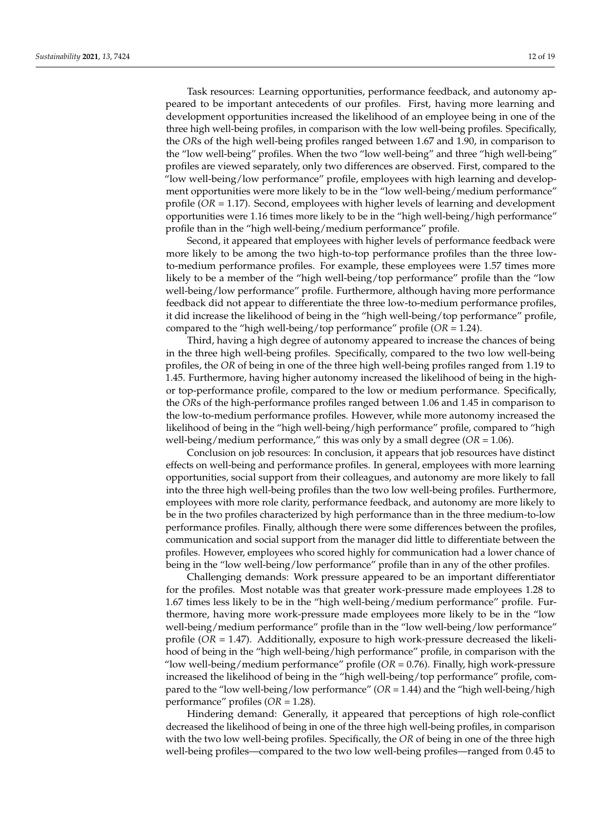Task resources: Learning opportunities, performance feedback, and autonomy appeared to be important antecedents of our profiles. First, having more learning and development opportunities increased the likelihood of an employee being in one of the three high well-being profiles, in comparison with the low well-being profiles. Specifically, the *OR*s of the high well-being profiles ranged between 1.67 and 1.90, in comparison to the "low well-being" profiles. When the two "low well-being" and three "high well-being" profiles are viewed separately, only two differences are observed. First, compared to the "low well-being/low performance" profile, employees with high learning and development opportunities were more likely to be in the "low well-being/medium performance" profile (*OR* = 1.17). Second, employees with higher levels of learning and development opportunities were 1.16 times more likely to be in the "high well-being/high performance" profile than in the "high well-being/medium performance" profile.

Second, it appeared that employees with higher levels of performance feedback were more likely to be among the two high-to-top performance profiles than the three lowto-medium performance profiles. For example, these employees were 1.57 times more likely to be a member of the "high well-being/top performance" profile than the "low well-being/low performance" profile. Furthermore, although having more performance feedback did not appear to differentiate the three low-to-medium performance profiles, it did increase the likelihood of being in the "high well-being/top performance" profile, compared to the "high well-being/top performance" profile (*OR* = 1.24).

Third, having a high degree of autonomy appeared to increase the chances of being in the three high well-being profiles. Specifically, compared to the two low well-being profiles, the *OR* of being in one of the three high well-being profiles ranged from 1.19 to 1.45. Furthermore, having higher autonomy increased the likelihood of being in the highor top-performance profile, compared to the low or medium performance. Specifically, the *OR*s of the high-performance profiles ranged between 1.06 and 1.45 in comparison to the low-to-medium performance profiles. However, while more autonomy increased the likelihood of being in the "high well-being/high performance" profile, compared to "high well-being/medium performance," this was only by a small degree (*OR* = 1.06).

Conclusion on job resources: In conclusion, it appears that job resources have distinct effects on well-being and performance profiles. In general, employees with more learning opportunities, social support from their colleagues, and autonomy are more likely to fall into the three high well-being profiles than the two low well-being profiles. Furthermore, employees with more role clarity, performance feedback, and autonomy are more likely to be in the two profiles characterized by high performance than in the three medium-to-low performance profiles. Finally, although there were some differences between the profiles, communication and social support from the manager did little to differentiate between the profiles. However, employees who scored highly for communication had a lower chance of being in the "low well-being/low performance" profile than in any of the other profiles.

Challenging demands: Work pressure appeared to be an important differentiator for the profiles. Most notable was that greater work-pressure made employees 1.28 to 1.67 times less likely to be in the "high well-being/medium performance" profile. Furthermore, having more work-pressure made employees more likely to be in the "low well-being/medium performance" profile than in the "low well-being/low performance" profile (*OR* = 1.47). Additionally, exposure to high work-pressure decreased the likelihood of being in the "high well-being/high performance" profile, in comparison with the "low well-being/medium performance" profile  $(OR = 0.76)$ . Finally, high work-pressure increased the likelihood of being in the "high well-being/top performance" profile, compared to the "low well-being/low performance" (*OR* = 1.44) and the "high well-being/high performance" profiles (*OR* = 1.28).

Hindering demand: Generally, it appeared that perceptions of high role-conflict decreased the likelihood of being in one of the three high well-being profiles, in comparison with the two low well-being profiles. Specifically, the *OR* of being in one of the three high well-being profiles—compared to the two low well-being profiles—ranged from 0.45 to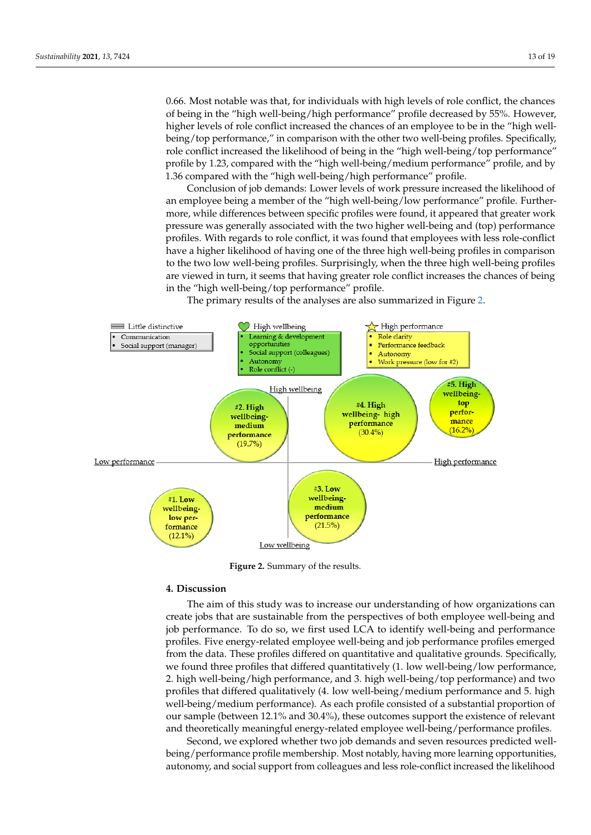0.66. Most notable was that, for individuals with high levels of role conflict, the chances of being in the "high well-being/high performance" profile decreased by 55%. However, higher levels of role conflict increased the chances of an employee to be in the "high wellbeing/top performance," in comparison with the other two well-being profiles. Specifically, role conflict increased the likelihood of being in the "high well-being/top performance" profile by 1.23, compared with the "high well-being/medium performance" profile, and by 1.36 compared with the "high well-being/high performance" profile.

Conclusion of job demands: Lower levels of work pressure increased the likelihood of an employee being a member of the "high well-being/low performance" profile. Furthermore, while differences between specific profiles were found, it appeared that greater work pressure was generally associated with the two higher well-being and (top) performance profiles. With regards to role conflict, it was found that employees with less role-conflict have a higher likelihood of having one of the three high well-being profiles in comparison to the two low well-being profiles. Surprisingly, when the three high well-being profiles are viewed in turn, it seems that having greater role conflict increases the chances of being in the "high well-being/top performance" profile.

The primary results of the analyses are also summarized in Figure [2.](#page-12-0) The primary results of the analyses are also summarized in Figure 2.

<span id="page-12-0"></span>

**Figure 2.** Summary of the results. **Figure 2.** Summary of the results.

#### **4. Discussion**

The aim of this study was to increase our understanding of how organizations can create jobs that are sustainable from the perspectives of both employee well-being and job performance. To do so, we first used LCA to identify well-being and performance profiles. Five energy-related employee well-being and job performance profiles emerged from the data. These profiles differed on quantitative and qualitative grounds. Specifically, we found three profiles that differed quantitatively (1. low well-being/low performance, 2. high well-being/high performance, and 3. high well-being/top performance) and two profiles that differed qualitatively (4. low well-being/medium performance and 5. high well-being/medium performance). As each profile consisted of a substantial proportion of our sample (between 12.1% and 30.4%), these outcomes support the existence of relevant and theoretically meaningful energy-related employee well-being/performance profiles.

Second, we explored whether two job demands and seven resources predicted wellbeing/performance profile membership. Most notably, having more learning opportunities, autonomy, and social support from colleagues and less role-conflict increased the likelihood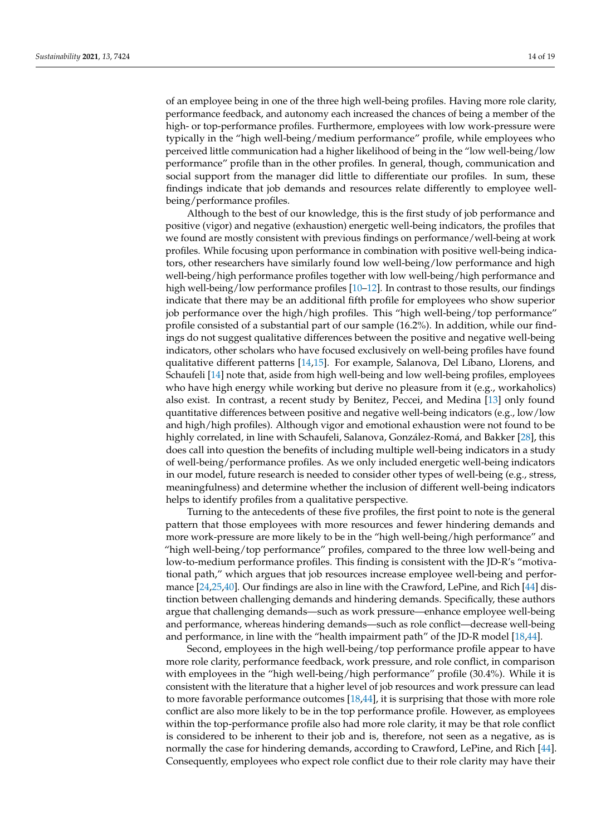of an employee being in one of the three high well-being profiles. Having more role clarity, performance feedback, and autonomy each increased the chances of being a member of the high- or top-performance profiles. Furthermore, employees with low work-pressure were typically in the "high well-being/medium performance" profile, while employees who perceived little communication had a higher likelihood of being in the "low well-being/low performance" profile than in the other profiles. In general, though, communication and social support from the manager did little to differentiate our profiles. In sum, these findings indicate that job demands and resources relate differently to employee wellbeing/performance profiles.

Although to the best of our knowledge, this is the first study of job performance and positive (vigor) and negative (exhaustion) energetic well-being indicators, the profiles that we found are mostly consistent with previous findings on performance/well-being at work profiles. While focusing upon performance in combination with positive well-being indicators, other researchers have similarly found low well-being/low performance and high well-being/high performance profiles together with low well-being/high performance and high well-being/low performance profiles [\[10–](#page-16-8)[12\]](#page-17-1). In contrast to those results, our findings indicate that there may be an additional fifth profile for employees who show superior job performance over the high/high profiles. This "high well-being/top performance" profile consisted of a substantial part of our sample (16.2%). In addition, while our findings do not suggest qualitative differences between the positive and negative well-being indicators, other scholars who have focused exclusively on well-being profiles have found qualitative different patterns [\[14,](#page-17-17)[15\]](#page-17-2). For example, Salanova, Del Líbano, Llorens, and Schaufeli [\[14\]](#page-17-17) note that, aside from high well-being and low well-being profiles, employees who have high energy while working but derive no pleasure from it (e.g., workaholics) also exist. In contrast, a recent study by Benitez, Peccei, and Medina [\[13\]](#page-17-0) only found quantitative differences between positive and negative well-being indicators (e.g., low/low and high/high profiles). Although vigor and emotional exhaustion were not found to be highly correlated, in line with Schaufeli, Salanova, González-Romá, and Bakker [\[28\]](#page-17-14), this does call into question the benefits of including multiple well-being indicators in a study of well-being/performance profiles. As we only included energetic well-being indicators in our model, future research is needed to consider other types of well-being (e.g., stress, meaningfulness) and determine whether the inclusion of different well-being indicators helps to identify profiles from a qualitative perspective.

Turning to the antecedents of these five profiles, the first point to note is the general pattern that those employees with more resources and fewer hindering demands and more work-pressure are more likely to be in the "high well-being/high performance" and "high well-being/top performance" profiles, compared to the three low well-being and low-to-medium performance profiles. This finding is consistent with the JD-R's "motivational path," which argues that job resources increase employee well-being and performance [\[24,](#page-17-10)[25](#page-17-11)[,40\]](#page-17-27). Our findings are also in line with the Crawford, LePine, and Rich [\[44\]](#page-18-3) distinction between challenging demands and hindering demands. Specifically, these authors argue that challenging demands—such as work pressure—enhance employee well-being and performance, whereas hindering demands—such as role conflict—decrease well-being and performance, in line with the "health impairment path" of the JD-R model [\[18,](#page-17-5)[44\]](#page-18-3).

Second, employees in the high well-being/top performance profile appear to have more role clarity, performance feedback, work pressure, and role conflict, in comparison with employees in the "high well-being/high performance" profile (30.4%). While it is consistent with the literature that a higher level of job resources and work pressure can lead to more favorable performance outcomes [\[18,](#page-17-5)[44\]](#page-18-3), it is surprising that those with more role conflict are also more likely to be in the top performance profile. However, as employees within the top-performance profile also had more role clarity, it may be that role conflict is considered to be inherent to their job and is, therefore, not seen as a negative, as is normally the case for hindering demands, according to Crawford, LePine, and Rich [\[44\]](#page-18-3). Consequently, employees who expect role conflict due to their role clarity may have their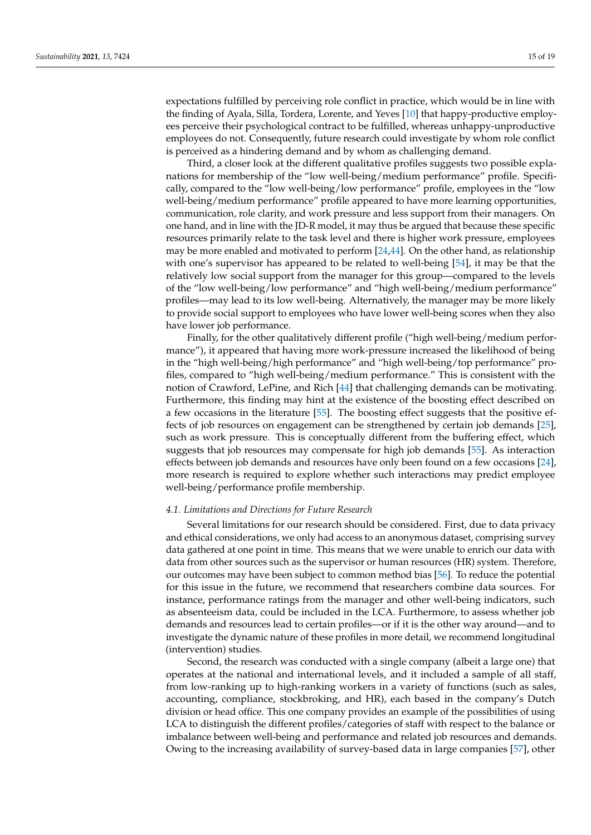expectations fulfilled by perceiving role conflict in practice, which would be in line with the finding of Ayala, Silla, Tordera, Lorente, and Yeves [\[10\]](#page-16-8) that happy-productive employees perceive their psychological contract to be fulfilled, whereas unhappy-unproductive employees do not. Consequently, future research could investigate by whom role conflict is perceived as a hindering demand and by whom as challenging demand.

Third, a closer look at the different qualitative profiles suggests two possible explanations for membership of the "low well-being/medium performance" profile. Specifically, compared to the "low well-being/low performance" profile, employees in the "low well-being/medium performance" profile appeared to have more learning opportunities, communication, role clarity, and work pressure and less support from their managers. On one hand, and in line with the JD-R model, it may thus be argued that because these specific resources primarily relate to the task level and there is higher work pressure, employees may be more enabled and motivated to perform  $[24,44]$  $[24,44]$ . On the other hand, as relationship with one's supervisor has appeared to be related to well-being [\[54\]](#page-18-12), it may be that the relatively low social support from the manager for this group—compared to the levels of the "low well-being/low performance" and "high well-being/medium performance" profiles—may lead to its low well-being. Alternatively, the manager may be more likely to provide social support to employees who have lower well-being scores when they also have lower job performance.

Finally, for the other qualitatively different profile ("high well-being/medium performance"), it appeared that having more work-pressure increased the likelihood of being in the "high well-being/high performance" and "high well-being/top performance" profiles, compared to "high well-being/medium performance." This is consistent with the notion of Crawford, LePine, and Rich [\[44\]](#page-18-3) that challenging demands can be motivating. Furthermore, this finding may hint at the existence of the boosting effect described on a few occasions in the literature [\[55\]](#page-18-13). The boosting effect suggests that the positive effects of job resources on engagement can be strengthened by certain job demands [\[25\]](#page-17-11), such as work pressure. This is conceptually different from the buffering effect, which suggests that job resources may compensate for high job demands [\[55\]](#page-18-13). As interaction effects between job demands and resources have only been found on a few occasions [\[24\]](#page-17-10), more research is required to explore whether such interactions may predict employee well-being/performance profile membership.

# *4.1. Limitations and Directions for Future Research*

Several limitations for our research should be considered. First, due to data privacy and ethical considerations, we only had access to an anonymous dataset, comprising survey data gathered at one point in time. This means that we were unable to enrich our data with data from other sources such as the supervisor or human resources (HR) system. Therefore, our outcomes may have been subject to common method bias [\[56\]](#page-18-14). To reduce the potential for this issue in the future, we recommend that researchers combine data sources. For instance, performance ratings from the manager and other well-being indicators, such as absenteeism data, could be included in the LCA. Furthermore, to assess whether job demands and resources lead to certain profiles—or if it is the other way around—and to investigate the dynamic nature of these profiles in more detail, we recommend longitudinal (intervention) studies.

Second, the research was conducted with a single company (albeit a large one) that operates at the national and international levels, and it included a sample of all staff, from low-ranking up to high-ranking workers in a variety of functions (such as sales, accounting, compliance, stockbroking, and HR), each based in the company's Dutch division or head office. This one company provides an example of the possibilities of using LCA to distinguish the different profiles/categories of staff with respect to the balance or imbalance between well-being and performance and related job resources and demands. Owing to the increasing availability of survey-based data in large companies [\[57\]](#page-18-15), other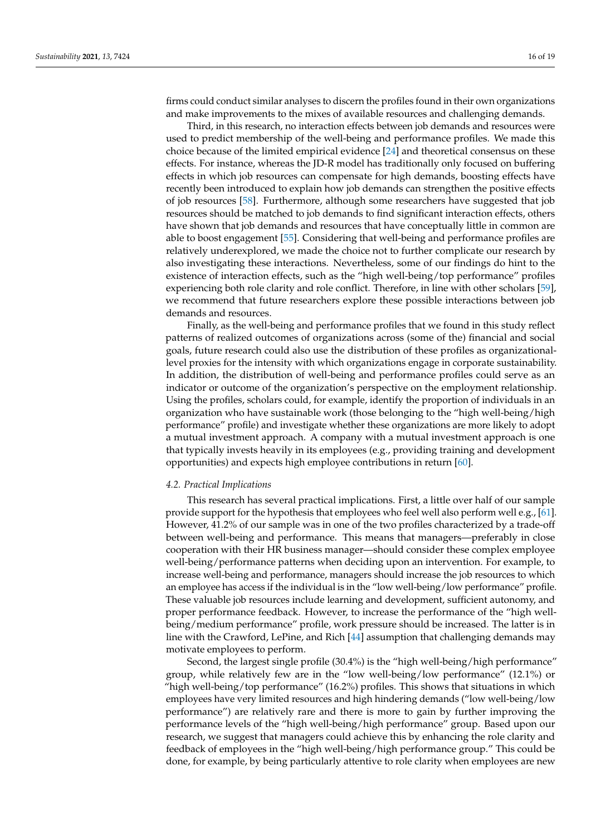firms could conduct similar analyses to discern the profiles found in their own organizations and make improvements to the mixes of available resources and challenging demands.

Third, in this research, no interaction effects between job demands and resources were used to predict membership of the well-being and performance profiles. We made this choice because of the limited empirical evidence [\[24\]](#page-17-10) and theoretical consensus on these effects. For instance, whereas the JD-R model has traditionally only focused on buffering effects in which job resources can compensate for high demands, boosting effects have recently been introduced to explain how job demands can strengthen the positive effects of job resources [\[58\]](#page-18-16). Furthermore, although some researchers have suggested that job resources should be matched to job demands to find significant interaction effects, others have shown that job demands and resources that have conceptually little in common are able to boost engagement [\[55\]](#page-18-13). Considering that well-being and performance profiles are relatively underexplored, we made the choice not to further complicate our research by also investigating these interactions. Nevertheless, some of our findings do hint to the existence of interaction effects, such as the "high well-being/top performance" profiles experiencing both role clarity and role conflict. Therefore, in line with other scholars [\[59\]](#page-18-17), we recommend that future researchers explore these possible interactions between job demands and resources.

Finally, as the well-being and performance profiles that we found in this study reflect patterns of realized outcomes of organizations across (some of the) financial and social goals, future research could also use the distribution of these profiles as organizationallevel proxies for the intensity with which organizations engage in corporate sustainability. In addition, the distribution of well-being and performance profiles could serve as an indicator or outcome of the organization's perspective on the employment relationship. Using the profiles, scholars could, for example, identify the proportion of individuals in an organization who have sustainable work (those belonging to the "high well-being/high performance" profile) and investigate whether these organizations are more likely to adopt a mutual investment approach. A company with a mutual investment approach is one that typically invests heavily in its employees (e.g., providing training and development opportunities) and expects high employee contributions in return [\[60\]](#page-18-18).

#### *4.2. Practical Implications*

This research has several practical implications. First, a little over half of our sample provide support for the hypothesis that employees who feel well also perform well e.g., [\[61\]](#page-18-19). However, 41.2% of our sample was in one of the two profiles characterized by a trade-off between well-being and performance. This means that managers—preferably in close cooperation with their HR business manager—should consider these complex employee well-being/performance patterns when deciding upon an intervention. For example, to increase well-being and performance, managers should increase the job resources to which an employee has access if the individual is in the "low well-being/low performance" profile. These valuable job resources include learning and development, sufficient autonomy, and proper performance feedback. However, to increase the performance of the "high wellbeing/medium performance" profile, work pressure should be increased. The latter is in line with the Crawford, LePine, and Rich [\[44\]](#page-18-3) assumption that challenging demands may motivate employees to perform.

Second, the largest single profile (30.4%) is the "high well-being/high performance" group, while relatively few are in the "low well-being/low performance" (12.1%) or "high well-being/top performance" (16.2%) profiles. This shows that situations in which employees have very limited resources and high hindering demands ("low well-being/low performance") are relatively rare and there is more to gain by further improving the performance levels of the "high well-being/high performance" group. Based upon our research, we suggest that managers could achieve this by enhancing the role clarity and feedback of employees in the "high well-being/high performance group." This could be done, for example, by being particularly attentive to role clarity when employees are new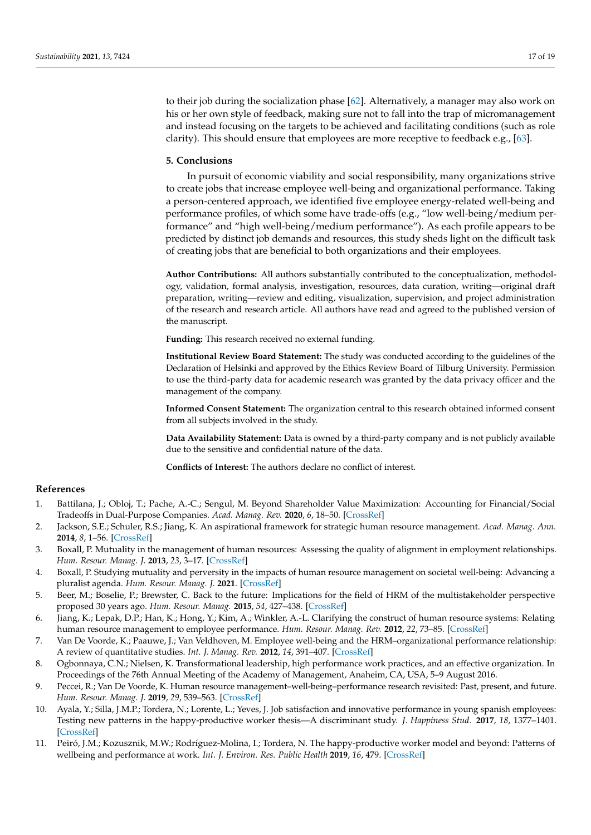to their job during the socialization phase [\[62\]](#page-18-20). Alternatively, a manager may also work on his or her own style of feedback, making sure not to fall into the trap of micromanagement and instead focusing on the targets to be achieved and facilitating conditions (such as role clarity). This should ensure that employees are more receptive to feedback e.g., [\[63\]](#page-18-21).

# **5. Conclusions**

In pursuit of economic viability and social responsibility, many organizations strive to create jobs that increase employee well-being and organizational performance. Taking a person-centered approach, we identified five employee energy-related well-being and performance profiles, of which some have trade-offs (e.g., "low well-being/medium performance" and "high well-being/medium performance"). As each profile appears to be predicted by distinct job demands and resources, this study sheds light on the difficult task of creating jobs that are beneficial to both organizations and their employees.

**Author Contributions:** All authors substantially contributed to the conceptualization, methodology, validation, formal analysis, investigation, resources, data curation, writing—original draft preparation, writing—review and editing, visualization, supervision, and project administration of the research and research article. All authors have read and agreed to the published version of the manuscript.

**Funding:** This research received no external funding.

**Institutional Review Board Statement:** The study was conducted according to the guidelines of the Declaration of Helsinki and approved by the Ethics Review Board of Tilburg University. Permission to use the third-party data for academic research was granted by the data privacy officer and the management of the company.

**Informed Consent Statement:** The organization central to this research obtained informed consent from all subjects involved in the study.

**Data Availability Statement:** Data is owned by a third-party company and is not publicly available due to the sensitive and confidential nature of the data.

**Conflicts of Interest:** The authors declare no conflict of interest.

# **References**

- <span id="page-16-0"></span>1. Battilana, J.; Obloj, T.; Pache, A.-C.; Sengul, M. Beyond Shareholder Value Maximization: Accounting for Financial/Social Tradeoffs in Dual-Purpose Companies. *Acad. Manag. Rev.* **2020**, *6*, 18–50. [\[CrossRef\]](http://doi.org/10.5465/amr.2019.0386)
- <span id="page-16-1"></span>2. Jackson, S.E.; Schuler, R.S.; Jiang, K. An aspirational framework for strategic human resource management. *Acad. Manag. Ann.* **2014**, *8*, 1–56. [\[CrossRef\]](http://doi.org/10.5465/19416520.2014.872335)
- <span id="page-16-2"></span>3. Boxall, P. Mutuality in the management of human resources: Assessing the quality of alignment in employment relationships. *Hum. Resour. Manag. J.* **2013**, *23*, 3–17. [\[CrossRef\]](http://doi.org/10.1111/1748-8583.12015)
- 4. Boxall, P. Studying mutuality and perversity in the impacts of human resource management on societal well-being: Advancing a pluralist agenda. *Hum. Resour. Manag. J.* **2021**. [\[CrossRef\]](http://doi.org/10.1111/1748-8583.12341)
- <span id="page-16-3"></span>5. Beer, M.; Boselie, P.; Brewster, C. Back to the future: Implications for the field of HRM of the multistakeholder perspective proposed 30 years ago. *Hum. Resour. Manag.* **2015**, *54*, 427–438. [\[CrossRef\]](http://doi.org/10.1002/hrm.21726)
- <span id="page-16-4"></span>6. Jiang, K.; Lepak, D.P.; Han, K.; Hong, Y.; Kim, A.; Winkler, A.-L. Clarifying the construct of human resource systems: Relating human resource management to employee performance. *Hum. Resour. Manag. Rev.* **2012**, *22*, 73–85. [\[CrossRef\]](http://doi.org/10.1016/j.hrmr.2011.11.005)
- <span id="page-16-5"></span>7. Van De Voorde, K.; Paauwe, J.; Van Veldhoven, M. Employee well-being and the HRM–organizational performance relationship: A review of quantitative studies. *Int. J. Manag. Rev.* **2012**, *14*, 391–407. [\[CrossRef\]](http://doi.org/10.1111/j.1468-2370.2011.00322.x)
- <span id="page-16-6"></span>8. Ogbonnaya, C.N.; Nielsen, K. Transformational leadership, high performance work practices, and an effective organization. In Proceedings of the 76th Annual Meeting of the Academy of Management, Anaheim, CA, USA, 5–9 August 2016.
- <span id="page-16-7"></span>9. Peccei, R.; Van De Voorde, K. Human resource management–well-being–performance research revisited: Past, present, and future. *Hum. Resour. Manag. J.* **2019**, *29*, 539–563. [\[CrossRef\]](http://doi.org/10.1111/1748-8583.12254)
- <span id="page-16-8"></span>Ayala, Y.; Silla, J.M.P.; Tordera, N.; Lorente, L.; Yeves, J. Job satisfaction and innovative performance in young spanish employees: Testing new patterns in the happy-productive worker thesis—A discriminant study. *J. Happiness Stud.* **2017**, *18*, 1377–1401. [\[CrossRef\]](http://doi.org/10.1007/s10902-016-9778-1)
- 11. Peiró, J.M.; Kozusznik, M.W.; Rodríguez-Molina, I.; Tordera, N. The happy-productive worker model and beyond: Patterns of wellbeing and performance at work. *Int. J. Environ. Res. Public Health* **2019**, *16*, 479. [\[CrossRef\]](http://doi.org/10.3390/ijerph16030479)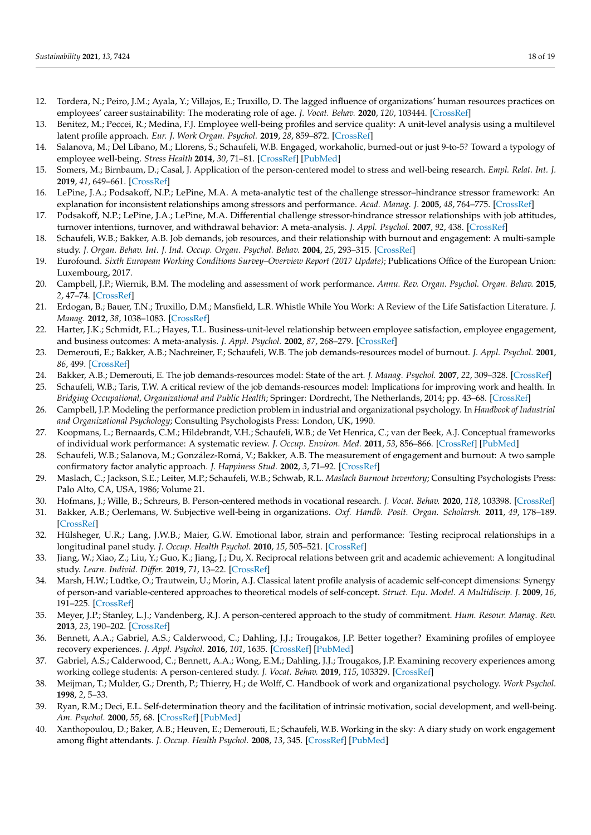- <span id="page-17-1"></span>12. Tordera, N.; Peiro, J.M.; Ayala, Y.; Villajos, E.; Truxillo, D. The lagged influence of organizations' human resources practices on employees' career sustainability: The moderating role of age. *J. Vocat. Behav.* **2020**, *120*, 103444. [\[CrossRef\]](http://doi.org/10.1016/j.jvb.2020.103444)
- <span id="page-17-0"></span>13. Benitez, M.; Peccei, R.; Medina, F.J. Employee well-being profiles and service quality: A unit-level analysis using a multilevel latent profile approach. *Eur. J. Work Organ. Psychol.* **2019**, *28*, 859–872. [\[CrossRef\]](http://doi.org/10.1080/1359432X.2019.1678587)
- <span id="page-17-17"></span>14. Salanova, M.; Del Líbano, M.; Llorens, S.; Schaufeli, W.B. Engaged, workaholic, burned-out or just 9-to-5? Toward a typology of employee well-being. *Stress Health* **2014**, *30*, 71–81. [\[CrossRef\]](http://doi.org/10.1002/smi.2499) [\[PubMed\]](http://www.ncbi.nlm.nih.gov/pubmed/23723156)
- <span id="page-17-2"></span>15. Somers, M.; Birnbaum, D.; Casal, J. Application of the person-centered model to stress and well-being research. *Empl. Relat. Int. J.* **2019**, *41*, 649–661. [\[CrossRef\]](http://doi.org/10.1108/ER-06-2018-0154)
- <span id="page-17-3"></span>16. LePine, J.A.; Podsakoff, N.P.; LePine, M.A. A meta-analytic test of the challenge stressor–hindrance stressor framework: An explanation for inconsistent relationships among stressors and performance. *Acad. Manag. J.* **2005**, *48*, 764–775. [\[CrossRef\]](http://doi.org/10.5465/amj.2005.18803921)
- <span id="page-17-4"></span>17. Podsakoff, N.P.; LePine, J.A.; LePine, M.A. Differential challenge stressor-hindrance stressor relationships with job attitudes, turnover intentions, turnover, and withdrawal behavior: A meta-analysis. *J. Appl. Psychol.* **2007**, *92*, 438. [\[CrossRef\]](http://doi.org/10.1037/0021-9010.92.2.438)
- <span id="page-17-5"></span>18. Schaufeli, W.B.; Bakker, A.B. Job demands, job resources, and their relationship with burnout and engagement: A multi-sample study. *J. Organ. Behav. Int. J. Ind. Occup. Organ. Psychol. Behav.* **2004**, *25*, 293–315. [\[CrossRef\]](http://doi.org/10.1002/job.248)
- <span id="page-17-6"></span>19. Eurofound. *Sixth European Working Conditions Survey–Overview Report (2017 Update)*; Publications Office of the European Union: Luxembourg, 2017.
- <span id="page-17-7"></span>20. Campbell, J.P.; Wiernik, B.M. The modeling and assessment of work performance. *Annu. Rev. Organ. Psychol. Organ. Behav.* **2015**, *2*, 47–74. [\[CrossRef\]](http://doi.org/10.1146/annurev-orgpsych-032414-111427)
- 21. Erdogan, B.; Bauer, T.N.; Truxillo, D.M.; Mansfield, L.R. Whistle While You Work: A Review of the Life Satisfaction Literature. *J. Manag.* **2012**, *38*, 1038–1083. [\[CrossRef\]](http://doi.org/10.1177/0149206311429379)
- <span id="page-17-8"></span>22. Harter, J.K.; Schmidt, F.L.; Hayes, T.L. Business-unit-level relationship between employee satisfaction, employee engagement, and business outcomes: A meta-analysis. *J. Appl. Psychol.* **2002**, *87*, 268–279. [\[CrossRef\]](http://doi.org/10.1037/0021-9010.87.2.268)
- <span id="page-17-9"></span>23. Demerouti, E.; Bakker, A.B.; Nachreiner, F.; Schaufeli, W.B. The job demands-resources model of burnout. *J. Appl. Psychol.* **2001**, *86*, 499. [\[CrossRef\]](http://doi.org/10.1037/0021-9010.86.3.499)
- <span id="page-17-10"></span>24. Bakker, A.B.; Demerouti, E. The job demands-resources model: State of the art. *J. Manag. Psychol.* **2007**, *22*, 309–328. [\[CrossRef\]](http://doi.org/10.1108/02683940710733115)
- <span id="page-17-11"></span>25. Schaufeli, W.B.; Taris, T.W. A critical review of the job demands-resources model: Implications for improving work and health. In *Bridging Occupational, Organizational and Public Health*; Springer: Dordrecht, The Netherlands, 2014; pp. 43–68. [\[CrossRef\]](http://doi.org/10.1007/978-94-007-5640-3_4)
- <span id="page-17-12"></span>26. Campbell, J.P. Modeling the performance prediction problem in industrial and organizational psychology. In *Handbook of Industrial and Organizational Psychology*; Consulting Psychologists Press: London, UK, 1990.
- <span id="page-17-13"></span>27. Koopmans, L.; Bernaards, C.M.; Hildebrandt, V.H.; Schaufeli, W.B.; de Vet Henrica, C.; van der Beek, A.J. Conceptual frameworks of individual work performance: A systematic review. *J. Occup. Environ. Med.* **2011**, *53*, 856–866. [\[CrossRef\]](http://doi.org/10.1097/JOM.0b013e318226a763) [\[PubMed\]](http://www.ncbi.nlm.nih.gov/pubmed/21775896)
- <span id="page-17-14"></span>28. Schaufeli, W.B.; Salanova, M.; González-Romá, V.; Bakker, A.B. The measurement of engagement and burnout: A two sample confirmatory factor analytic approach. *J. Happiness Stud.* **2002**, *3*, 71–92. [\[CrossRef\]](http://doi.org/10.1023/A:1015630930326)
- <span id="page-17-15"></span>29. Maslach, C.; Jackson, S.E.; Leiter, M.P.; Schaufeli, W.B.; Schwab, R.L. *Maslach Burnout Inventory*; Consulting Psychologists Press: Palo Alto, CA, USA, 1986; Volume 21.
- <span id="page-17-16"></span>30. Hofmans, J.; Wille, B.; Schreurs, B. Person-centered methods in vocational research. *J. Vocat. Behav.* **2020**, *118*, 103398. [\[CrossRef\]](http://doi.org/10.1016/j.jvb.2020.103398)
- <span id="page-17-18"></span>31. Bakker, A.B.; Oerlemans, W. Subjective well-being in organizations. *Oxf. Handb. Posit. Organ. Scholarsh.* **2011**, *49*, 178–189. [\[CrossRef\]](http://doi.org/10.1093/oxfordhb/9780199734610.013.0014)
- <span id="page-17-19"></span>32. Hülsheger, U.R.; Lang, J.W.B.; Maier, G.W. Emotional labor, strain and performance: Testing reciprocal relationships in a longitudinal panel study. *J. Occup. Health Psychol.* **2010**, *15*, 505–521. [\[CrossRef\]](http://doi.org/10.1037/a0021003)
- <span id="page-17-20"></span>33. Jiang, W.; Xiao, Z.; Liu, Y.; Guo, K.; Jiang, J.; Du, X. Reciprocal relations between grit and academic achievement: A longitudinal study. *Learn. Individ. Differ.* **2019**, *71*, 13–22. [\[CrossRef\]](http://doi.org/10.1016/j.lindif.2019.02.004)
- <span id="page-17-21"></span>34. Marsh, H.W.; Lüdtke, O.; Trautwein, U.; Morin, A.J. Classical latent profile analysis of academic self-concept dimensions: Synergy of person-and variable-centered approaches to theoretical models of self-concept. *Struct. Equ. Model. A Multidiscip. J.* **2009**, *16*, 191–225. [\[CrossRef\]](http://doi.org/10.1080/10705510902751010)
- <span id="page-17-22"></span>35. Meyer, J.P.; Stanley, L.J.; Vandenberg, R.J. A person-centered approach to the study of commitment. *Hum. Resour. Manag. Rev.* **2013**, *23*, 190–202. [\[CrossRef\]](http://doi.org/10.1016/j.hrmr.2012.07.007)
- <span id="page-17-23"></span>36. Bennett, A.A.; Gabriel, A.S.; Calderwood, C.; Dahling, J.J.; Trougakos, J.P. Better together? Examining profiles of employee recovery experiences. *J. Appl. Psychol.* **2016**, *101*, 1635. [\[CrossRef\]](http://doi.org/10.1037/apl0000157) [\[PubMed\]](http://www.ncbi.nlm.nih.gov/pubmed/27618407)
- <span id="page-17-24"></span>37. Gabriel, A.S.; Calderwood, C.; Bennett, A.A.; Wong, E.M.; Dahling, J.J.; Trougakos, J.P. Examining recovery experiences among working college students: A person-centered study. *J. Vocat. Behav.* **2019**, *115*, 103329. [\[CrossRef\]](http://doi.org/10.1016/j.jvb.2019.103329)
- <span id="page-17-25"></span>38. Meijman, T.; Mulder, G.; Drenth, P.; Thierry, H.; de Wolff, C. Handbook of work and organizational psychology. *Work Psychol.* **1998**, *2*, 5–33.
- <span id="page-17-26"></span>39. Ryan, R.M.; Deci, E.L. Self-determination theory and the facilitation of intrinsic motivation, social development, and well-being. *Am. Psychol.* **2000**, *55*, 68. [\[CrossRef\]](http://doi.org/10.1037/0003-066X.55.1.68) [\[PubMed\]](http://www.ncbi.nlm.nih.gov/pubmed/11392867)
- <span id="page-17-27"></span>40. Xanthopoulou, D.; Baker, A.B.; Heuven, E.; Demerouti, E.; Schaufeli, W.B. Working in the sky: A diary study on work engagement among flight attendants. *J. Occup. Health Psychol.* **2008**, *13*, 345. [\[CrossRef\]](http://doi.org/10.1037/1076-8998.13.4.345) [\[PubMed\]](http://www.ncbi.nlm.nih.gov/pubmed/18837629)